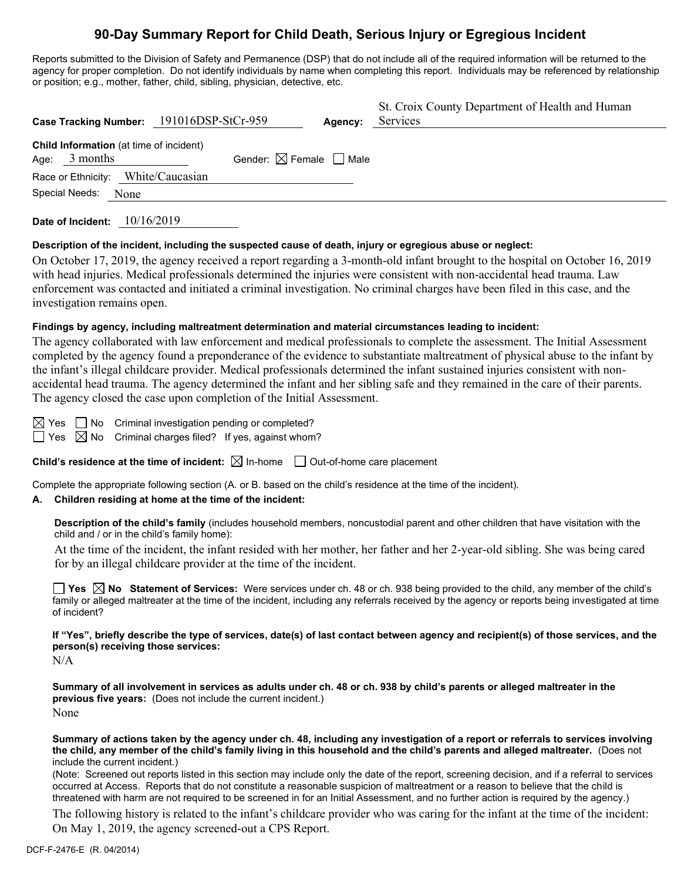# **90-Day Summary Report for Child Death, Serious Injury or Egregious Incident**

Reports submitted to the Division of Safety and Permanence (DSP) that do not include all of the required information will be returned to the agency for proper completion. Do not identify individuals by name when completing this report. Individuals may be referenced by relationship or position; e.g., mother, father, child, sibling, physician, detective, etc.

| Case Tracking Number: 191016DSP-StCr-959                   |                                        | Agency: | St. Croix County Department of Health and Human<br>Services |
|------------------------------------------------------------|----------------------------------------|---------|-------------------------------------------------------------|
| Child Information (at time of incident)<br>Age: $3$ months | Gender: $\boxtimes$ Female $\Box$ Male |         |                                                             |
| Race or Ethnicity: White/Caucasian                         |                                        |         |                                                             |
| Special Needs:<br>None                                     |                                        |         |                                                             |

**Date of Incident:** 10/16/2019

### **Description of the incident, including the suspected cause of death, injury or egregious abuse or neglect:**

On October 17, 2019, the agency received a report regarding a 3-month-old infant brought to the hospital on October 16, 2019 with head injuries. Medical professionals determined the injuries were consistent with non-accidental head trauma. Law enforcement was contacted and initiated a criminal investigation. No criminal charges have been filed in this case, and the investigation remains open.

### **Findings by agency, including maltreatment determination and material circumstances leading to incident:**

The agency collaborated with law enforcement and medical professionals to complete the assessment. The Initial Assessment completed by the agency found a preponderance of the evidence to substantiate maltreatment of physical abuse to the infant by the infant's illegal childcare provider. Medical professionals determined the infant sustained injuries consistent with nonaccidental head trauma. The agency determined the infant and her sibling safe and they remained in the care of their parents. The agency closed the case upon completion of the Initial Assessment.

 $\boxtimes$  Yes  $\Box$  No Criminal investigation pending or completed?  $\Box$  Yes  $\boxtimes$  No Criminal charges filed? If yes, against whom?

**Child's residence at the time of incident:**  $\boxtimes$  In-home  $\Box$  Out-of-home care placement

Complete the appropriate following section (A. or B. based on the child's residence at the time of the incident).

### **A. Children residing at home at the time of the incident:**

**Description of the child's family** (includes household members, noncustodial parent and other children that have visitation with the child and / or in the child's family home):

At the time of the incident, the infant resided with her mother, her father and her 2-year-old sibling. She was being cared for by an illegal childcare provider at the time of the incident.

**Yes No Statement of Services:** Were services under ch. 48 or ch. 938 being provided to the child, any member of the child's family or alleged maltreater at the time of the incident, including any referrals received by the agency or reports being investigated at time of incident?

**If "Yes", briefly describe the type of services, date(s) of last contact between agency and recipient(s) of those services, and the person(s) receiving those services:**

N/A

**Summary of all involvement in services as adults under ch. 48 or ch. 938 by child's parents or alleged maltreater in the previous five years:** (Does not include the current incident.) None

**Summary of actions taken by the agency under ch. 48, including any investigation of a report or referrals to services involving the child, any member of the child's family living in this household and the child's parents and alleged maltreater.** (Does not include the current incident.)

(Note: Screened out reports listed in this section may include only the date of the report, screening decision, and if a referral to services occurred at Access. Reports that do not constitute a reasonable suspicion of maltreatment or a reason to believe that the child is threatened with harm are not required to be screened in for an Initial Assessment, and no further action is required by the agency.)

The following history is related to the infant's childcare provider who was caring for the infant at the time of the incident: On May 1, 2019, the agency screened-out a CPS Report.